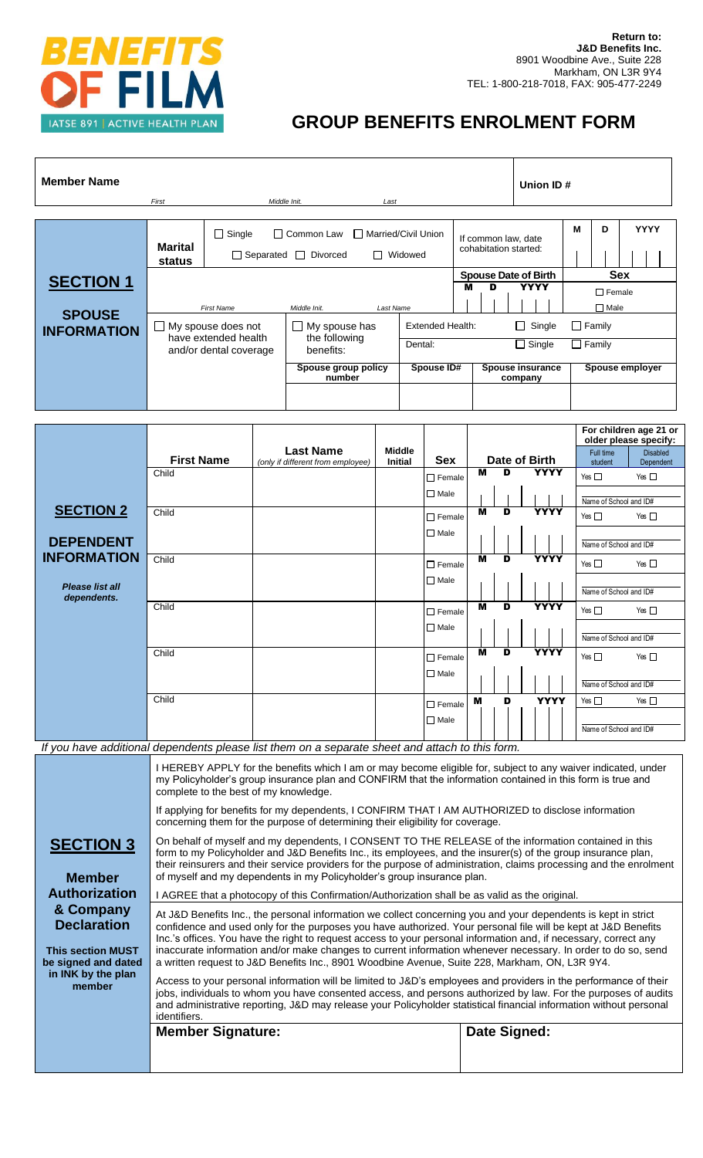

## **GROUP BENEFITS ENROLMENT FORM**

| <b>Member Name</b>                  |                                                             |               |                                                       |                                | Union ID#                        |                                              |                                 |                 |   |             |
|-------------------------------------|-------------------------------------------------------------|---------------|-------------------------------------------------------|--------------------------------|----------------------------------|----------------------------------------------|---------------------------------|-----------------|---|-------------|
|                                     | First                                                       |               | Middle Init.                                          | Last                           |                                  |                                              |                                 |                 |   |             |
|                                     | <b>Marital</b><br>status                                    | $\Box$ Single | $\Box$ Common Law<br>$\Box$ Separated $\Box$ Divorced | $\Box$                         | □ Married/Civil Union<br>Widowed | If common law, date<br>cohabitation started: |                                 | M               | D | <b>YYYY</b> |
| <b>SECTION 1</b>                    |                                                             |               |                                                       |                                |                                  | <b>Spouse Date of Birth</b>                  | <b>YYYY</b>                     |                 |   | <b>Sex</b>  |
|                                     | Middle Init.<br><b>First Name</b><br>Last Name              |               |                                                       |                                | м<br>D                           |                                              | $\Box$ Female<br>$\square$ Male |                 |   |             |
| <b>SPOUSE</b><br><b>INFORMATION</b> | My spouse does not<br>$\mathcal{L}$<br>have extended health |               |                                                       | My spouse has<br>the following | Extended Health:                 |                                              | $\Box$ Single                   | $\Box$ Family   |   |             |
|                                     | and/or dental coverage                                      |               | benefits:                                             | Dental:                        |                                  | $\Box$ Single                                | $\Box$ Family                   |                 |   |             |
|                                     |                                                             |               | Spouse group policy<br>number                         |                                | Spouse ID#                       | <b>Spouse insurance</b><br>company           |                                 | Spouse employer |   |             |
|                                     |                                                             |               |                                                       |                                |                                  |                                              |                                 |                 |   |             |
|                                     |                                                             |               |                                                       |                                |                                  |                                              |                                 |                 |   |             |

|                                                                                                 |                                                                                                                                                                                                                                                                      |                                                       |                                 |               |                         |   |                        | For children age 21 or<br>older please specify: |                              |
|-------------------------------------------------------------------------------------------------|----------------------------------------------------------------------------------------------------------------------------------------------------------------------------------------------------------------------------------------------------------------------|-------------------------------------------------------|---------------------------------|---------------|-------------------------|---|------------------------|-------------------------------------------------|------------------------------|
|                                                                                                 | <b>First Name</b>                                                                                                                                                                                                                                                    | <b>Last Name</b><br>(only if different from employee) | <b>Middle</b><br><b>Initial</b> | <b>Sex</b>    | Date of Birth           |   |                        | Full time<br>student                            | <b>Disabled</b><br>Dependent |
|                                                                                                 | Child                                                                                                                                                                                                                                                                |                                                       |                                 | $\Box$ Female | M                       | D | <b>YYYY</b>            | Yes $\square$                                   | Yes $\Box$                   |
|                                                                                                 |                                                                                                                                                                                                                                                                      |                                                       |                                 | $\Box$ Male   |                         |   | Name of School and ID# |                                                 |                              |
| <b>SECTION 2</b>                                                                                | Child                                                                                                                                                                                                                                                                |                                                       |                                 | $\Box$ Female | $\overline{\mathbf{M}}$ | D | <b>YYYY</b>            | Yes $\square$                                   | Yes $\Box$                   |
| <b>DEPENDENT</b>                                                                                |                                                                                                                                                                                                                                                                      |                                                       |                                 | $\Box$ Male   |                         |   |                        |                                                 |                              |
| <b>INFORMATION</b>                                                                              |                                                                                                                                                                                                                                                                      |                                                       |                                 |               |                         |   | Name of School and ID# |                                                 |                              |
|                                                                                                 | Child                                                                                                                                                                                                                                                                |                                                       |                                 | $\Box$ Female | $\overline{\mathbf{M}}$ | D | <b>YYYY</b>            | Yes $\Box$                                      | Yes $\Box$                   |
| Please list all<br>dependents.                                                                  |                                                                                                                                                                                                                                                                      |                                                       |                                 | $\Box$ Male   |                         |   |                        | Name of School and ID#                          |                              |
|                                                                                                 | Child                                                                                                                                                                                                                                                                |                                                       |                                 | $\Box$ Female | M                       | D | <b>YYYY</b>            | Yes $\square$                                   | Yes $\Box$                   |
|                                                                                                 |                                                                                                                                                                                                                                                                      |                                                       |                                 | $\Box$ Male   |                         |   |                        | Name of School and ID#                          |                              |
|                                                                                                 | Child                                                                                                                                                                                                                                                                |                                                       |                                 | $\Box$ Female | $\overline{\mathsf{M}}$ | D | <b>YYYY</b>            | Yes $\square$                                   | Yes $\Box$                   |
|                                                                                                 |                                                                                                                                                                                                                                                                      |                                                       |                                 | $\Box$ Male   |                         |   |                        | Name of School and ID#                          |                              |
|                                                                                                 | Child                                                                                                                                                                                                                                                                |                                                       |                                 | $\Box$ Female | M                       | D | <b>YYYY</b>            | Yes $\square$                                   | Yes $\square$                |
|                                                                                                 |                                                                                                                                                                                                                                                                      |                                                       |                                 | $\Box$ Male   |                         |   |                        | Name of School and ID#                          |                              |
| If you have additional dependents please list them on a separate sheet and attach to this form. |                                                                                                                                                                                                                                                                      |                                                       |                                 |               |                         |   |                        |                                                 |                              |
|                                                                                                 | I HEREBY APPLY for the benefits which I am or may become eligible for, subject to any waiver indicated, under<br>my Policyholder's group insurance plan and CONFIRM that the information contained in this form is true and<br>complete to the best of my knowledge. |                                                       |                                 |               |                         |   |                        |                                                 |                              |
|                                                                                                 | If applying for benefits for my dependents, I CONFIRM THAT I AM AUTHORIZED to disclose information<br>concerning them for the purpose of determining their eligibility for coverage.                                                                                 |                                                       |                                 |               |                         |   |                        |                                                 |                              |

**SECTION 3**

**Member Authorization & Company Declaration**

**This section MUST be signed and dated in INK by the plan member**

On behalf of myself and my dependents, I CONSENT TO THE RELEASE of the information contained in this form to my Policyholder and J&D Benefits Inc., its employees, and the insurer(s) of the group insurance plan, their reinsurers and their service providers for the purpose of administration, claims processing and the enrolment of myself and my dependents in my Policyholder's group insurance plan.

I AGREE that a photocopy of this Confirmation/Authorization shall be as valid as the original.

At J&D Benefits Inc., the personal information we collect concerning you and your dependents is kept in strict confidence and used only for the purposes you have authorized. Your personal file will be kept at J&D Benefits Inc.'s offices. You have the right to request access to your personal information and, if necessary, correct any inaccurate information and/or make changes to current information whenever necessary. In order to do so, send a written request to J&D Benefits Inc., 8901 Woodbine Avenue, Suite 228, Markham, ON, L3R 9Y4.

Access to your personal information will be limited to J&D's employees and providers in the performance of their jobs, individuals to whom you have consented access, and persons authorized by law. For the purposes of audits and administrative reporting, J&D may release your Policyholder statistical financial information without personal identifiers.

| Member Signature: |
|-------------------|
|-------------------|

**Date Signed:**